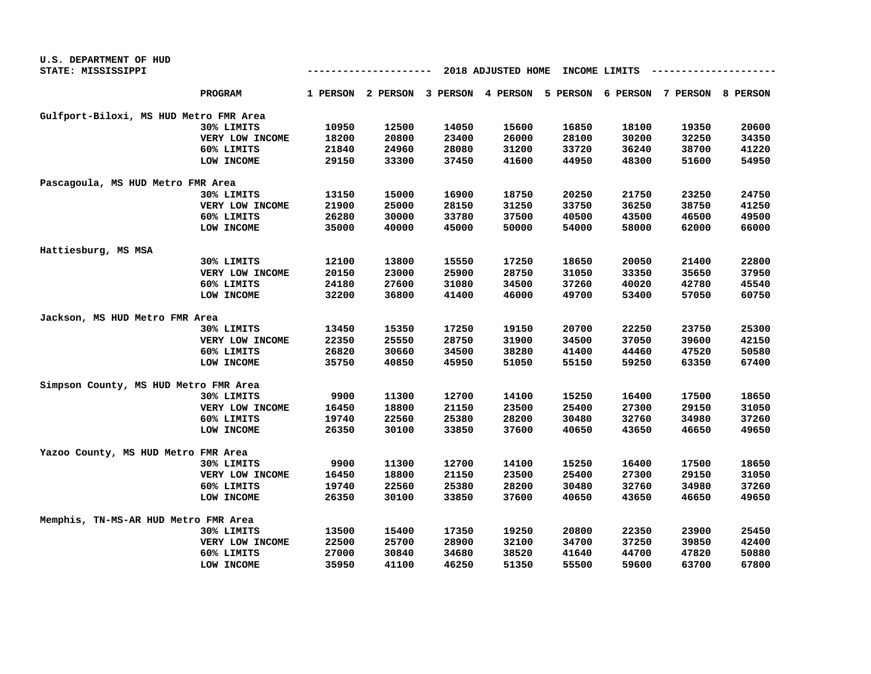| U.S. DEPARTMENT OF HUD                 |                 |                                     |       |                                     |       |          |                   |       |          |
|----------------------------------------|-----------------|-------------------------------------|-------|-------------------------------------|-------|----------|-------------------|-------|----------|
| STATE: MISSISSIPPI                     |                 | 2018 ADJUSTED HOME<br>INCOME LIMITS |       |                                     |       |          |                   |       |          |
|                                        | <b>PROGRAM</b>  |                                     |       | 1 PERSON 2 PERSON 3 PERSON 4 PERSON |       | 5 PERSON | 6 PERSON 7 PERSON |       | 8 PERSON |
| Gulfport-Biloxi, MS HUD Metro FMR Area |                 |                                     |       |                                     |       |          |                   |       |          |
|                                        | 30% LIMITS      | 10950                               | 12500 | 14050                               | 15600 | 16850    | 18100             | 19350 | 20600    |
|                                        | VERY LOW INCOME | 18200                               | 20800 | 23400                               | 26000 | 28100    | 30200             | 32250 | 34350    |
|                                        | 60% LIMITS      | 21840                               | 24960 | 28080                               | 31200 | 33720    | 36240             | 38700 | 41220    |
|                                        | LOW INCOME      | 29150                               | 33300 | 37450                               | 41600 | 44950    | 48300             | 51600 | 54950    |
| Pascagoula, MS HUD Metro FMR Area      |                 |                                     |       |                                     |       |          |                   |       |          |
|                                        | 30% LIMITS      | 13150                               | 15000 | 16900                               | 18750 | 20250    | 21750             | 23250 | 24750    |
|                                        | VERY LOW INCOME | 21900                               | 25000 | 28150                               | 31250 | 33750    | 36250             | 38750 | 41250    |
|                                        | 60% LIMITS      | 26280                               | 30000 | 33780                               | 37500 | 40500    | 43500             | 46500 | 49500    |
|                                        | LOW INCOME      | 35000                               | 40000 | 45000                               | 50000 | 54000    | 58000             | 62000 | 66000    |
| Hattiesburg, MS MSA                    |                 |                                     |       |                                     |       |          |                   |       |          |
|                                        | 30% LIMITS      | 12100                               | 13800 | 15550                               | 17250 | 18650    | 20050             | 21400 | 22800    |
|                                        | VERY LOW INCOME | 20150                               | 23000 | 25900                               | 28750 | 31050    | 33350             | 35650 | 37950    |
|                                        | 60% LIMITS      | 24180                               | 27600 | 31080                               | 34500 | 37260    | 40020             | 42780 | 45540    |
|                                        | LOW INCOME      | 32200                               | 36800 | 41400                               | 46000 | 49700    | 53400             | 57050 | 60750    |
| Jackson, MS HUD Metro FMR Area         |                 |                                     |       |                                     |       |          |                   |       |          |
|                                        | 30% LIMITS      | 13450                               | 15350 | 17250                               | 19150 | 20700    | 22250             | 23750 | 25300    |
|                                        | VERY LOW INCOME | 22350                               | 25550 | 28750                               | 31900 | 34500    | 37050             | 39600 | 42150    |
|                                        | 60% LIMITS      | 26820                               | 30660 | 34500                               | 38280 | 41400    | 44460             | 47520 | 50580    |
|                                        | LOW INCOME      | 35750                               | 40850 | 45950                               | 51050 | 55150    | 59250             | 63350 | 67400    |
| Simpson County, MS HUD Metro FMR Area  |                 |                                     |       |                                     |       |          |                   |       |          |
|                                        | 30% LIMITS      | 9900                                | 11300 | 12700                               | 14100 | 15250    | 16400             | 17500 | 18650    |
|                                        | VERY LOW INCOME | 16450                               | 18800 | 21150                               | 23500 | 25400    | 27300             | 29150 | 31050    |
|                                        | 60% LIMITS      | 19740                               | 22560 | 25380                               | 28200 | 30480    | 32760             | 34980 | 37260    |
|                                        | LOW INCOME      | 26350                               | 30100 | 33850                               | 37600 | 40650    | 43650             | 46650 | 49650    |
| Yazoo County, MS HUD Metro FMR Area    |                 |                                     |       |                                     |       |          |                   |       |          |
|                                        | 30% LIMITS      | 9900                                | 11300 | 12700                               | 14100 | 15250    | 16400             | 17500 | 18650    |
|                                        | VERY LOW INCOME | 16450                               | 18800 | 21150                               | 23500 | 25400    | 27300             | 29150 | 31050    |
|                                        | 60% LIMITS      | 19740                               | 22560 | 25380                               | 28200 | 30480    | 32760             | 34980 | 37260    |
|                                        | LOW INCOME      | 26350                               | 30100 | 33850                               | 37600 | 40650    | 43650             | 46650 | 49650    |
| Memphis, TN-MS-AR HUD Metro FMR Area   |                 |                                     |       |                                     |       |          |                   |       |          |
|                                        | 30% LIMITS      | 13500                               | 15400 | 17350                               | 19250 | 20800    | 22350             | 23900 | 25450    |
|                                        | VERY LOW INCOME | 22500                               | 25700 | 28900                               | 32100 | 34700    | 37250             | 39850 | 42400    |
|                                        | 60% LIMITS      | 27000                               | 30840 | 34680                               | 38520 | 41640    | 44700             | 47820 | 50880    |
|                                        | LOW INCOME      | 35950                               | 41100 | 46250                               | 51350 | 55500    | 59600             | 63700 | 67800    |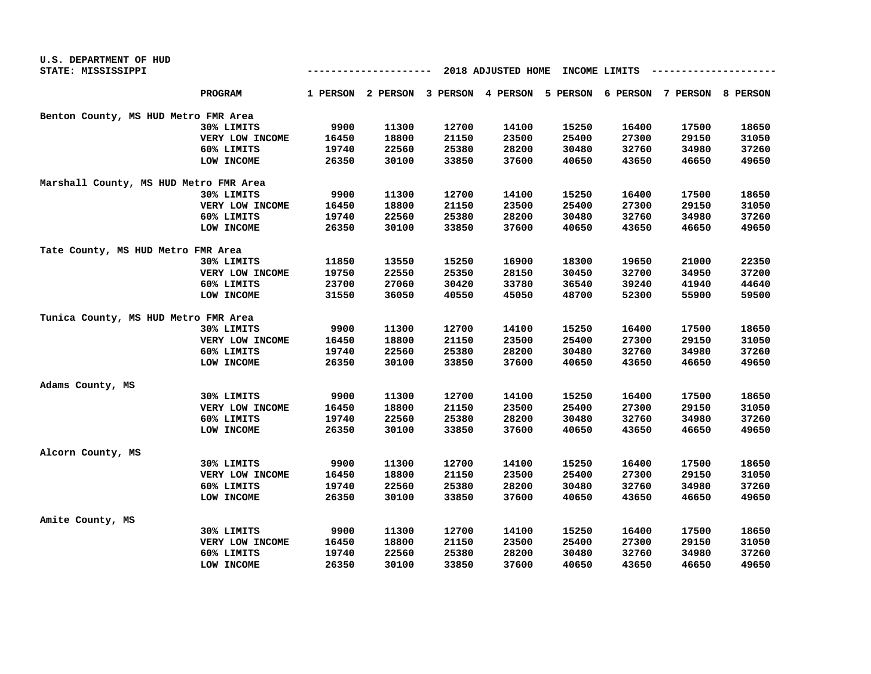| U.S. DEPARTMENT OF HUD                 |                 |       |          |       |                                                                         |       |       |       |       |  |
|----------------------------------------|-----------------|-------|----------|-------|-------------------------------------------------------------------------|-------|-------|-------|-------|--|
| STATE: MISSISSIPPI                     |                 |       | -------- |       | 2018 ADJUSTED HOME<br>INCOME LIMITS                                     |       |       |       |       |  |
|                                        | <b>PROGRAM</b>  |       |          |       | 1 PERSON 2 PERSON 3 PERSON 4 PERSON 5 PERSON 6 PERSON 7 PERSON 8 PERSON |       |       |       |       |  |
| Benton County, MS HUD Metro FMR Area   |                 |       |          |       |                                                                         |       |       |       |       |  |
|                                        | 30% LIMITS      | 9900  | 11300    | 12700 | 14100                                                                   | 15250 | 16400 | 17500 | 18650 |  |
|                                        | VERY LOW INCOME | 16450 | 18800    | 21150 | 23500                                                                   | 25400 | 27300 | 29150 | 31050 |  |
|                                        | 60% LIMITS      | 19740 | 22560    | 25380 | 28200                                                                   | 30480 | 32760 | 34980 | 37260 |  |
|                                        | LOW INCOME      | 26350 | 30100    | 33850 | 37600                                                                   | 40650 | 43650 | 46650 | 49650 |  |
| Marshall County, MS HUD Metro FMR Area |                 |       |          |       |                                                                         |       |       |       |       |  |
|                                        | 30% LIMITS      | 9900  | 11300    | 12700 | 14100                                                                   | 15250 | 16400 | 17500 | 18650 |  |
|                                        | VERY LOW INCOME | 16450 | 18800    | 21150 | 23500                                                                   | 25400 | 27300 | 29150 | 31050 |  |
|                                        | 60% LIMITS      | 19740 | 22560    | 25380 | 28200                                                                   | 30480 | 32760 | 34980 | 37260 |  |
|                                        | LOW INCOME      | 26350 | 30100    | 33850 | 37600                                                                   | 40650 | 43650 | 46650 | 49650 |  |
| Tate County, MS HUD Metro FMR Area     |                 |       |          |       |                                                                         |       |       |       |       |  |
|                                        | 30% LIMITS      | 11850 | 13550    | 15250 | 16900                                                                   | 18300 | 19650 | 21000 | 22350 |  |
|                                        | VERY LOW INCOME | 19750 | 22550    | 25350 | 28150                                                                   | 30450 | 32700 | 34950 | 37200 |  |
|                                        | 60% LIMITS      | 23700 | 27060    | 30420 | 33780                                                                   | 36540 | 39240 | 41940 | 44640 |  |
|                                        | LOW INCOME      | 31550 | 36050    | 40550 | 45050                                                                   | 48700 | 52300 | 55900 | 59500 |  |
| Tunica County, MS HUD Metro FMR Area   |                 |       |          |       |                                                                         |       |       |       |       |  |
|                                        | 30% LIMITS      | 9900  | 11300    | 12700 | 14100                                                                   | 15250 | 16400 | 17500 | 18650 |  |
|                                        | VERY LOW INCOME | 16450 | 18800    | 21150 | 23500                                                                   | 25400 | 27300 | 29150 | 31050 |  |
|                                        | 60% LIMITS      | 19740 | 22560    | 25380 | 28200                                                                   | 30480 | 32760 | 34980 | 37260 |  |
|                                        | LOW INCOME      | 26350 | 30100    | 33850 | 37600                                                                   | 40650 | 43650 | 46650 | 49650 |  |
| Adams County, MS                       |                 |       |          |       |                                                                         |       |       |       |       |  |
|                                        | 30% LIMITS      | 9900  | 11300    | 12700 | 14100                                                                   | 15250 | 16400 | 17500 | 18650 |  |
|                                        | VERY LOW INCOME | 16450 | 18800    | 21150 | 23500                                                                   | 25400 | 27300 | 29150 | 31050 |  |
|                                        | 60% LIMITS      | 19740 | 22560    | 25380 | 28200                                                                   | 30480 | 32760 | 34980 | 37260 |  |
|                                        | LOW INCOME      | 26350 | 30100    | 33850 | 37600                                                                   | 40650 | 43650 | 46650 | 49650 |  |
| Alcorn County, MS                      |                 |       |          |       |                                                                         |       |       |       |       |  |
|                                        | 30% LIMITS      | 9900  | 11300    | 12700 | 14100                                                                   | 15250 | 16400 | 17500 | 18650 |  |
|                                        | VERY LOW INCOME | 16450 | 18800    | 21150 | 23500                                                                   | 25400 | 27300 | 29150 | 31050 |  |
|                                        | 60% LIMITS      | 19740 | 22560    | 25380 | 28200                                                                   | 30480 | 32760 | 34980 | 37260 |  |
|                                        | LOW INCOME      | 26350 | 30100    | 33850 | 37600                                                                   | 40650 | 43650 | 46650 | 49650 |  |
| Amite County, MS                       |                 |       |          |       |                                                                         |       |       |       |       |  |
|                                        | 30% LIMITS      | 9900  | 11300    | 12700 | 14100                                                                   | 15250 | 16400 | 17500 | 18650 |  |
|                                        | VERY LOW INCOME | 16450 | 18800    | 21150 | 23500                                                                   | 25400 | 27300 | 29150 | 31050 |  |
|                                        | 60% LIMITS      | 19740 | 22560    | 25380 | 28200                                                                   | 30480 | 32760 | 34980 | 37260 |  |
|                                        | LOW INCOME      | 26350 | 30100    | 33850 | 37600                                                                   | 40650 | 43650 | 46650 | 49650 |  |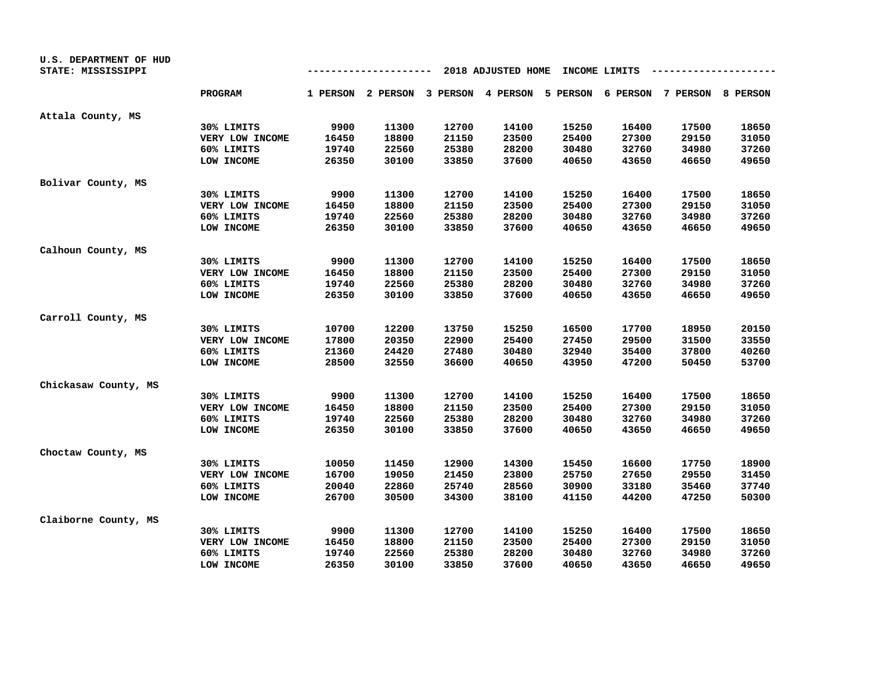| U.S. DEPARTMENT OF HUD<br>STATE: MISSISSIPPI |                 |       | ------- |       | 2018 ADJUSTED HOME                                                      |       | INCOME LIMITS |       |       |
|----------------------------------------------|-----------------|-------|---------|-------|-------------------------------------------------------------------------|-------|---------------|-------|-------|
|                                              | <b>PROGRAM</b>  |       |         |       | 1 PERSON 2 PERSON 3 PERSON 4 PERSON 5 PERSON 6 PERSON 7 PERSON 8 PERSON |       |               |       |       |
| Attala County, MS                            |                 |       |         |       |                                                                         |       |               |       |       |
|                                              | 30% LIMITS      | 9900  | 11300   | 12700 | 14100                                                                   | 15250 | 16400         | 17500 | 18650 |
|                                              | VERY LOW INCOME | 16450 | 18800   | 21150 | 23500                                                                   | 25400 | 27300         | 29150 | 31050 |
|                                              | 60% LIMITS      | 19740 | 22560   | 25380 | 28200                                                                   | 30480 | 32760         | 34980 | 37260 |
|                                              | LOW INCOME      | 26350 | 30100   | 33850 | 37600                                                                   | 40650 | 43650         | 46650 | 49650 |
| Bolivar County, MS                           |                 |       |         |       |                                                                         |       |               |       |       |
|                                              | 30% LIMITS      | 9900  | 11300   | 12700 | 14100                                                                   | 15250 | 16400         | 17500 | 18650 |
|                                              | VERY LOW INCOME | 16450 | 18800   | 21150 | 23500                                                                   | 25400 | 27300         | 29150 | 31050 |
|                                              | 60% LIMITS      | 19740 | 22560   | 25380 | 28200                                                                   | 30480 | 32760         | 34980 | 37260 |
|                                              | LOW INCOME      | 26350 | 30100   | 33850 | 37600                                                                   | 40650 | 43650         | 46650 | 49650 |
| Calhoun County, MS                           |                 |       |         |       |                                                                         |       |               |       |       |
|                                              | 30% LIMITS      | 9900  | 11300   | 12700 | 14100                                                                   | 15250 | 16400         | 17500 | 18650 |
|                                              | VERY LOW INCOME | 16450 | 18800   | 21150 | 23500                                                                   | 25400 | 27300         | 29150 | 31050 |
|                                              | 60% LIMITS      | 19740 | 22560   | 25380 | 28200                                                                   | 30480 | 32760         | 34980 | 37260 |
|                                              | LOW INCOME      | 26350 | 30100   | 33850 | 37600                                                                   | 40650 | 43650         | 46650 | 49650 |
| Carroll County, MS                           |                 |       |         |       |                                                                         |       |               |       |       |
|                                              | 30% LIMITS      | 10700 | 12200   | 13750 | 15250                                                                   | 16500 | 17700         | 18950 | 20150 |
|                                              | VERY LOW INCOME | 17800 | 20350   | 22900 | 25400                                                                   | 27450 | 29500         | 31500 | 33550 |
|                                              | 60% LIMITS      | 21360 | 24420   | 27480 | 30480                                                                   | 32940 | 35400         | 37800 | 40260 |
|                                              | LOW INCOME      | 28500 | 32550   | 36600 | 40650                                                                   | 43950 | 47200         | 50450 | 53700 |
| Chickasaw County, MS                         |                 |       |         |       |                                                                         |       |               |       |       |
|                                              | 30% LIMITS      | 9900  | 11300   | 12700 | 14100                                                                   | 15250 | 16400         | 17500 | 18650 |
|                                              | VERY LOW INCOME | 16450 | 18800   | 21150 | 23500                                                                   | 25400 | 27300         | 29150 | 31050 |
|                                              | 60% LIMITS      | 19740 | 22560   | 25380 | 28200                                                                   | 30480 | 32760         | 34980 | 37260 |
|                                              | LOW INCOME      | 26350 | 30100   | 33850 | 37600                                                                   | 40650 | 43650         | 46650 | 49650 |
| Choctaw County, MS                           |                 |       |         |       |                                                                         |       |               |       |       |
|                                              | 30% LIMITS      | 10050 | 11450   | 12900 | 14300                                                                   | 15450 | 16600         | 17750 | 18900 |
|                                              | VERY LOW INCOME | 16700 | 19050   | 21450 | 23800                                                                   | 25750 | 27650         | 29550 | 31450 |
|                                              | 60% LIMITS      | 20040 | 22860   | 25740 | 28560                                                                   | 30900 | 33180         | 35460 | 37740 |
|                                              | LOW INCOME      | 26700 | 30500   | 34300 | 38100                                                                   | 41150 | 44200         | 47250 | 50300 |
| Claiborne County, MS                         |                 |       |         |       |                                                                         |       |               |       |       |
|                                              | 30% LIMITS      | 9900  | 11300   | 12700 | 14100                                                                   | 15250 | 16400         | 17500 | 18650 |
|                                              | VERY LOW INCOME | 16450 | 18800   | 21150 | 23500                                                                   | 25400 | 27300         | 29150 | 31050 |
|                                              | 60% LIMITS      | 19740 | 22560   | 25380 | 28200                                                                   | 30480 | 32760         | 34980 | 37260 |
|                                              | LOW INCOME      | 26350 | 30100   | 33850 | 37600                                                                   | 40650 | 43650         | 46650 | 49650 |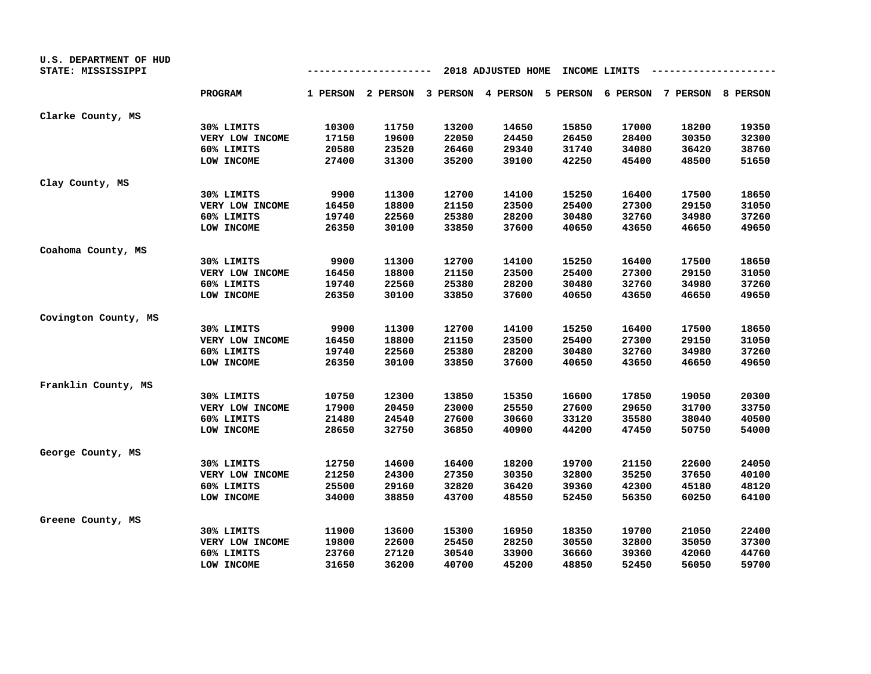| U.S. DEPARTMENT OF HUD<br>STATE: MISSISSIPPI |                 |       | ------- |       | 2018 ADJUSTED HOME                                                      |       | INCOME LIMITS |       |       |
|----------------------------------------------|-----------------|-------|---------|-------|-------------------------------------------------------------------------|-------|---------------|-------|-------|
|                                              | <b>PROGRAM</b>  |       |         |       | 1 PERSON 2 PERSON 3 PERSON 4 PERSON 5 PERSON 6 PERSON 7 PERSON 8 PERSON |       |               |       |       |
| Clarke County, MS                            |                 |       |         |       |                                                                         |       |               |       |       |
|                                              | 30% LIMITS      | 10300 | 11750   | 13200 | 14650                                                                   | 15850 | 17000         | 18200 | 19350 |
|                                              | VERY LOW INCOME | 17150 | 19600   | 22050 | 24450                                                                   | 26450 | 28400         | 30350 | 32300 |
|                                              | 60% LIMITS      | 20580 | 23520   | 26460 | 29340                                                                   | 31740 | 34080         | 36420 | 38760 |
|                                              | LOW INCOME      | 27400 | 31300   | 35200 | 39100                                                                   | 42250 | 45400         | 48500 | 51650 |
| Clay County, MS                              |                 |       |         |       |                                                                         |       |               |       |       |
|                                              | 30% LIMITS      | 9900  | 11300   | 12700 | 14100                                                                   | 15250 | 16400         | 17500 | 18650 |
|                                              | VERY LOW INCOME | 16450 | 18800   | 21150 | 23500                                                                   | 25400 | 27300         | 29150 | 31050 |
|                                              | 60% LIMITS      | 19740 | 22560   | 25380 | 28200                                                                   | 30480 | 32760         | 34980 | 37260 |
|                                              | LOW INCOME      | 26350 | 30100   | 33850 | 37600                                                                   | 40650 | 43650         | 46650 | 49650 |
| Coahoma County, MS                           |                 |       |         |       |                                                                         |       |               |       |       |
|                                              | 30% LIMITS      | 9900  | 11300   | 12700 | 14100                                                                   | 15250 | 16400         | 17500 | 18650 |
|                                              | VERY LOW INCOME | 16450 | 18800   | 21150 | 23500                                                                   | 25400 | 27300         | 29150 | 31050 |
|                                              | 60% LIMITS      | 19740 | 22560   | 25380 | 28200                                                                   | 30480 | 32760         | 34980 | 37260 |
|                                              | LOW INCOME      | 26350 | 30100   | 33850 | 37600                                                                   | 40650 | 43650         | 46650 | 49650 |
| Covington County, MS                         |                 |       |         |       |                                                                         |       |               |       |       |
|                                              | 30% LIMITS      | 9900  | 11300   | 12700 | 14100                                                                   | 15250 | 16400         | 17500 | 18650 |
|                                              | VERY LOW INCOME | 16450 | 18800   | 21150 | 23500                                                                   | 25400 | 27300         | 29150 | 31050 |
|                                              | 60% LIMITS      | 19740 | 22560   | 25380 | 28200                                                                   | 30480 | 32760         | 34980 | 37260 |
|                                              | LOW INCOME      | 26350 | 30100   | 33850 | 37600                                                                   | 40650 | 43650         | 46650 | 49650 |
| Franklin County, MS                          |                 |       |         |       |                                                                         |       |               |       |       |
|                                              | 30% LIMITS      | 10750 | 12300   | 13850 | 15350                                                                   | 16600 | 17850         | 19050 | 20300 |
|                                              | VERY LOW INCOME | 17900 | 20450   | 23000 | 25550                                                                   | 27600 | 29650         | 31700 | 33750 |
|                                              | 60% LIMITS      | 21480 | 24540   | 27600 | 30660                                                                   | 33120 | 35580         | 38040 | 40500 |
|                                              | LOW INCOME      | 28650 | 32750   | 36850 | 40900                                                                   | 44200 | 47450         | 50750 | 54000 |
| George County, MS                            |                 |       |         |       |                                                                         |       |               |       |       |
|                                              | 30% LIMITS      | 12750 | 14600   | 16400 | 18200                                                                   | 19700 | 21150         | 22600 | 24050 |
|                                              | VERY LOW INCOME | 21250 | 24300   | 27350 | 30350                                                                   | 32800 | 35250         | 37650 | 40100 |
|                                              | 60% LIMITS      | 25500 | 29160   | 32820 | 36420                                                                   | 39360 | 42300         | 45180 | 48120 |
|                                              | LOW INCOME      | 34000 | 38850   | 43700 | 48550                                                                   | 52450 | 56350         | 60250 | 64100 |
| Greene County, MS                            |                 |       |         |       |                                                                         |       |               |       |       |
|                                              | 30% LIMITS      | 11900 | 13600   | 15300 | 16950                                                                   | 18350 | 19700         | 21050 | 22400 |
|                                              | VERY LOW INCOME | 19800 | 22600   | 25450 | 28250                                                                   | 30550 | 32800         | 35050 | 37300 |
|                                              | 60% LIMITS      | 23760 | 27120   | 30540 | 33900                                                                   | 36660 | 39360         | 42060 | 44760 |
|                                              | LOW INCOME      | 31650 | 36200   | 40700 | 45200                                                                   | 48850 | 52450         | 56050 | 59700 |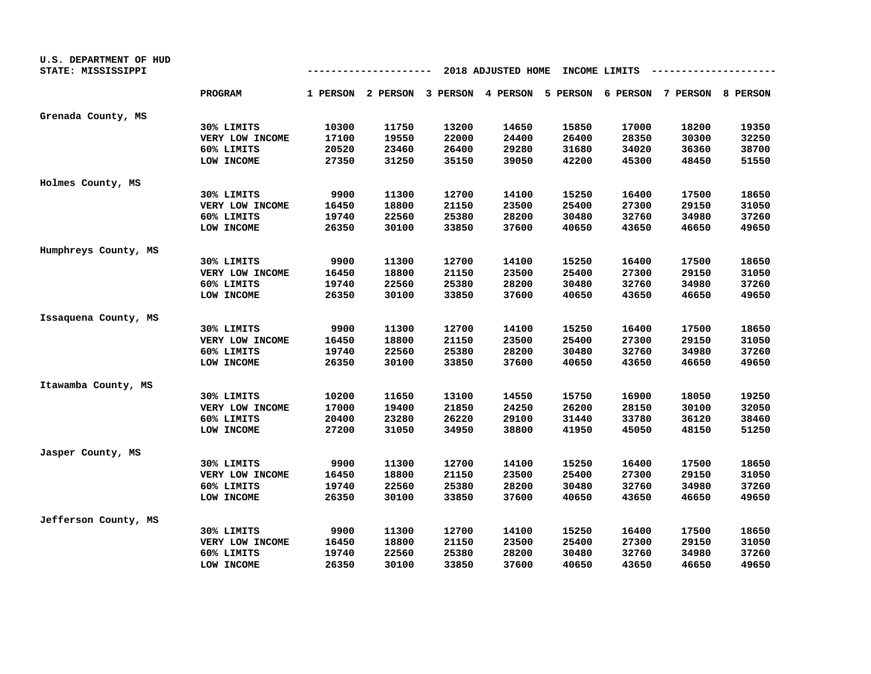| U.S. DEPARTMENT OF HUD<br>STATE: MISSISSIPPI |                 |       |       |       | 2018 ADJUSTED HOME                                                      |       | INCOME LIMITS |       |       |
|----------------------------------------------|-----------------|-------|-------|-------|-------------------------------------------------------------------------|-------|---------------|-------|-------|
|                                              | <b>PROGRAM</b>  |       |       |       | 1 PERSON 2 PERSON 3 PERSON 4 PERSON 5 PERSON 6 PERSON 7 PERSON 8 PERSON |       |               |       |       |
| Grenada County, MS                           |                 |       |       |       |                                                                         |       |               |       |       |
|                                              | 30% LIMITS      | 10300 | 11750 | 13200 | 14650                                                                   | 15850 | 17000         | 18200 | 19350 |
|                                              | VERY LOW INCOME | 17100 | 19550 | 22000 | 24400                                                                   | 26400 | 28350         | 30300 | 32250 |
|                                              | 60% LIMITS      | 20520 | 23460 | 26400 | 29280                                                                   | 31680 | 34020         | 36360 | 38700 |
|                                              | LOW INCOME      | 27350 | 31250 | 35150 | 39050                                                                   | 42200 | 45300         | 48450 | 51550 |
| Holmes County, MS                            |                 |       |       |       |                                                                         |       |               |       |       |
|                                              | 30% LIMITS      | 9900  | 11300 | 12700 | 14100                                                                   | 15250 | 16400         | 17500 | 18650 |
|                                              | VERY LOW INCOME | 16450 | 18800 | 21150 | 23500                                                                   | 25400 | 27300         | 29150 | 31050 |
|                                              | 60% LIMITS      | 19740 | 22560 | 25380 | 28200                                                                   | 30480 | 32760         | 34980 | 37260 |
|                                              | LOW INCOME      | 26350 | 30100 | 33850 | 37600                                                                   | 40650 | 43650         | 46650 | 49650 |
| Humphreys County, MS                         |                 |       |       |       |                                                                         |       |               |       |       |
|                                              | 30% LIMITS      | 9900  | 11300 | 12700 | 14100                                                                   | 15250 | 16400         | 17500 | 18650 |
|                                              | VERY LOW INCOME | 16450 | 18800 | 21150 | 23500                                                                   | 25400 | 27300         | 29150 | 31050 |
|                                              | 60% LIMITS      | 19740 | 22560 | 25380 | 28200                                                                   | 30480 | 32760         | 34980 | 37260 |
|                                              | LOW INCOME      | 26350 | 30100 | 33850 | 37600                                                                   | 40650 | 43650         | 46650 | 49650 |
| Issaquena County, MS                         |                 |       |       |       |                                                                         |       |               |       |       |
|                                              | 30% LIMITS      | 9900  | 11300 | 12700 | 14100                                                                   | 15250 | 16400         | 17500 | 18650 |
|                                              | VERY LOW INCOME | 16450 | 18800 | 21150 | 23500                                                                   | 25400 | 27300         | 29150 | 31050 |
|                                              | 60% LIMITS      | 19740 | 22560 | 25380 | 28200                                                                   | 30480 | 32760         | 34980 | 37260 |
|                                              | LOW INCOME      | 26350 | 30100 | 33850 | 37600                                                                   | 40650 | 43650         | 46650 | 49650 |
| Itawamba County, MS                          |                 |       |       |       |                                                                         |       |               |       |       |
|                                              | 30% LIMITS      | 10200 | 11650 | 13100 | 14550                                                                   | 15750 | 16900         | 18050 | 19250 |
|                                              | VERY LOW INCOME | 17000 | 19400 | 21850 | 24250                                                                   | 26200 | 28150         | 30100 | 32050 |
|                                              | 60% LIMITS      | 20400 | 23280 | 26220 | 29100                                                                   | 31440 | 33780         | 36120 | 38460 |
|                                              | LOW INCOME      | 27200 | 31050 | 34950 | 38800                                                                   | 41950 | 45050         | 48150 | 51250 |
| Jasper County, MS                            |                 |       |       |       |                                                                         |       |               |       |       |
|                                              | 30% LIMITS      | 9900  | 11300 | 12700 | 14100                                                                   | 15250 | 16400         | 17500 | 18650 |
|                                              | VERY LOW INCOME | 16450 | 18800 | 21150 | 23500                                                                   | 25400 | 27300         | 29150 | 31050 |
|                                              | 60% LIMITS      | 19740 | 22560 | 25380 | 28200                                                                   | 30480 | 32760         | 34980 | 37260 |
|                                              | LOW INCOME      | 26350 | 30100 | 33850 | 37600                                                                   | 40650 | 43650         | 46650 | 49650 |
| Jefferson County, MS                         |                 |       |       |       |                                                                         |       |               |       |       |
|                                              | 30% LIMITS      | 9900  | 11300 | 12700 | 14100                                                                   | 15250 | 16400         | 17500 | 18650 |
|                                              | VERY LOW INCOME | 16450 | 18800 | 21150 | 23500                                                                   | 25400 | 27300         | 29150 | 31050 |
|                                              | 60% LIMITS      | 19740 | 22560 | 25380 | 28200                                                                   | 30480 | 32760         | 34980 | 37260 |
|                                              | LOW INCOME      | 26350 | 30100 | 33850 | 37600                                                                   | 40650 | 43650         | 46650 | 49650 |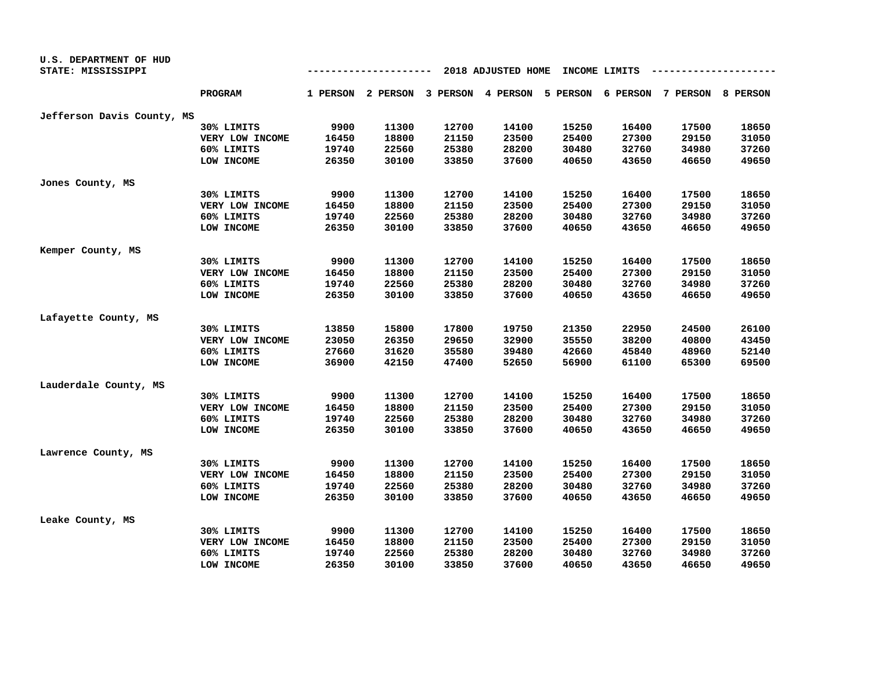| U.S. DEPARTMENT OF HUD     |                 |                                                |       |       |                                                                         |       |       |       |       |  |  |
|----------------------------|-----------------|------------------------------------------------|-------|-------|-------------------------------------------------------------------------|-------|-------|-------|-------|--|--|
| STATE: MISSISSIPPI         |                 | 2018 ADJUSTED HOME<br>INCOME LIMITS<br>------- |       |       |                                                                         |       |       |       |       |  |  |
|                            | <b>PROGRAM</b>  |                                                |       |       | 1 PERSON 2 PERSON 3 PERSON 4 PERSON 5 PERSON 6 PERSON 7 PERSON 8 PERSON |       |       |       |       |  |  |
| Jefferson Davis County, MS |                 |                                                |       |       |                                                                         |       |       |       |       |  |  |
|                            | 30% LIMITS      | 9900                                           | 11300 | 12700 | 14100                                                                   | 15250 | 16400 | 17500 | 18650 |  |  |
|                            | VERY LOW INCOME | 16450                                          | 18800 | 21150 | 23500                                                                   | 25400 | 27300 | 29150 | 31050 |  |  |
|                            | 60% LIMITS      | 19740                                          | 22560 | 25380 | 28200                                                                   | 30480 | 32760 | 34980 | 37260 |  |  |
|                            | LOW INCOME      | 26350                                          | 30100 | 33850 | 37600                                                                   | 40650 | 43650 | 46650 | 49650 |  |  |
| Jones County, MS           |                 |                                                |       |       |                                                                         |       |       |       |       |  |  |
|                            | 30% LIMITS      | 9900                                           | 11300 | 12700 | 14100                                                                   | 15250 | 16400 | 17500 | 18650 |  |  |
|                            | VERY LOW INCOME | 16450                                          | 18800 | 21150 | 23500                                                                   | 25400 | 27300 | 29150 | 31050 |  |  |
|                            | 60% LIMITS      | 19740                                          | 22560 | 25380 | 28200                                                                   | 30480 | 32760 | 34980 | 37260 |  |  |
|                            | LOW INCOME      | 26350                                          | 30100 | 33850 | 37600                                                                   | 40650 | 43650 | 46650 | 49650 |  |  |
| Kemper County, MS          |                 |                                                |       |       |                                                                         |       |       |       |       |  |  |
|                            | 30% LIMITS      | 9900                                           | 11300 | 12700 | 14100                                                                   | 15250 | 16400 | 17500 | 18650 |  |  |
|                            | VERY LOW INCOME | 16450                                          | 18800 | 21150 | 23500                                                                   | 25400 | 27300 | 29150 | 31050 |  |  |
|                            | 60% LIMITS      | 19740                                          | 22560 | 25380 | 28200                                                                   | 30480 | 32760 | 34980 | 37260 |  |  |
|                            | LOW INCOME      | 26350                                          | 30100 | 33850 | 37600                                                                   | 40650 | 43650 | 46650 | 49650 |  |  |
| Lafayette County, MS       |                 |                                                |       |       |                                                                         |       |       |       |       |  |  |
|                            | 30% LIMITS      | 13850                                          | 15800 | 17800 | 19750                                                                   | 21350 | 22950 | 24500 | 26100 |  |  |
|                            | VERY LOW INCOME | 23050                                          | 26350 | 29650 | 32900                                                                   | 35550 | 38200 | 40800 | 43450 |  |  |
|                            | 60% LIMITS      | 27660                                          | 31620 | 35580 | 39480                                                                   | 42660 | 45840 | 48960 | 52140 |  |  |
|                            | LOW INCOME      | 36900                                          | 42150 | 47400 | 52650                                                                   | 56900 | 61100 | 65300 | 69500 |  |  |
| Lauderdale County, MS      |                 |                                                |       |       |                                                                         |       |       |       |       |  |  |
|                            | 30% LIMITS      | 9900                                           | 11300 | 12700 | 14100                                                                   | 15250 | 16400 | 17500 | 18650 |  |  |
|                            | VERY LOW INCOME | 16450                                          | 18800 | 21150 | 23500                                                                   | 25400 | 27300 | 29150 | 31050 |  |  |
|                            | 60% LIMITS      | 19740                                          | 22560 | 25380 | 28200                                                                   | 30480 | 32760 | 34980 | 37260 |  |  |
|                            | LOW INCOME      | 26350                                          | 30100 | 33850 | 37600                                                                   | 40650 | 43650 | 46650 | 49650 |  |  |
| Lawrence County, MS        |                 |                                                |       |       |                                                                         |       |       |       |       |  |  |
|                            | 30% LIMITS      | 9900                                           | 11300 | 12700 | 14100                                                                   | 15250 | 16400 | 17500 | 18650 |  |  |
|                            | VERY LOW INCOME | 16450                                          | 18800 | 21150 | 23500                                                                   | 25400 | 27300 | 29150 | 31050 |  |  |
|                            | 60% LIMITS      | 19740                                          | 22560 | 25380 | 28200                                                                   | 30480 | 32760 | 34980 | 37260 |  |  |
|                            | LOW INCOME      | 26350                                          | 30100 | 33850 | 37600                                                                   | 40650 | 43650 | 46650 | 49650 |  |  |
| Leake County, MS           |                 |                                                |       |       |                                                                         |       |       |       |       |  |  |
|                            | 30% LIMITS      | 9900                                           | 11300 | 12700 | 14100                                                                   | 15250 | 16400 | 17500 | 18650 |  |  |
|                            | VERY LOW INCOME | 16450                                          | 18800 | 21150 | 23500                                                                   | 25400 | 27300 | 29150 | 31050 |  |  |
|                            | 60% LIMITS      | 19740                                          | 22560 | 25380 | 28200                                                                   | 30480 | 32760 | 34980 | 37260 |  |  |
|                            | LOW INCOME      | 26350                                          | 30100 | 33850 | 37600                                                                   | 40650 | 43650 | 46650 | 49650 |  |  |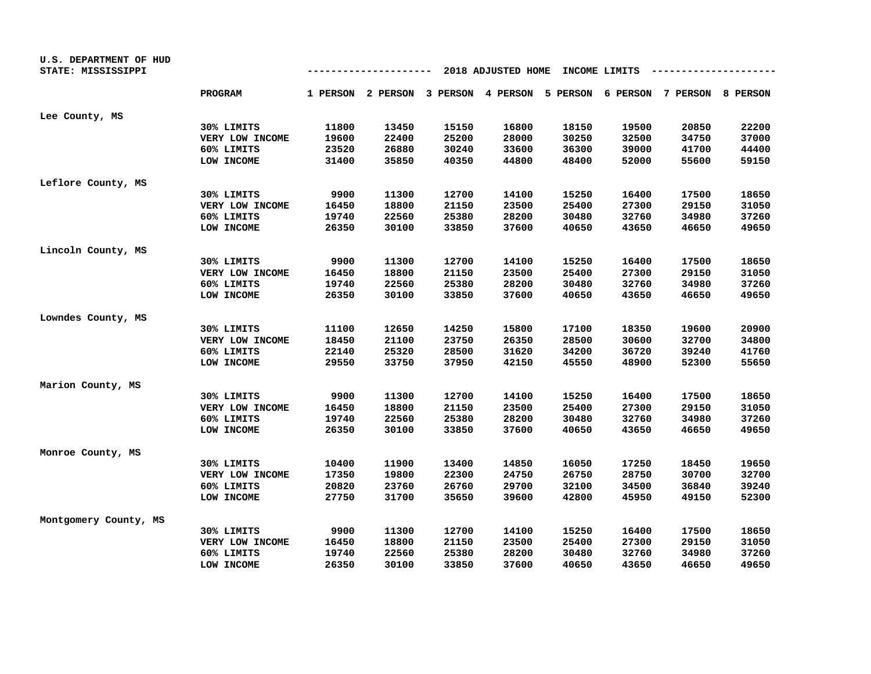| U.S. DEPARTMENT OF HUD<br>STATE: MISSISSIPPI |                 |       | -------- |       | 2018 ADJUSTED HOME |       | INCOME LIMITS |                                                                         |       |
|----------------------------------------------|-----------------|-------|----------|-------|--------------------|-------|---------------|-------------------------------------------------------------------------|-------|
|                                              | <b>PROGRAM</b>  |       |          |       |                    |       |               | 1 PERSON 2 PERSON 3 PERSON 4 PERSON 5 PERSON 6 PERSON 7 PERSON 8 PERSON |       |
| Lee County, MS                               |                 |       |          |       |                    |       |               |                                                                         |       |
|                                              | 30% LIMITS      | 11800 | 13450    | 15150 | 16800              | 18150 | 19500         | 20850                                                                   | 22200 |
|                                              | VERY LOW INCOME | 19600 | 22400    | 25200 | 28000              | 30250 | 32500         | 34750                                                                   | 37000 |
|                                              | 60% LIMITS      | 23520 | 26880    | 30240 | 33600              | 36300 | 39000         | 41700                                                                   | 44400 |
|                                              | LOW INCOME      | 31400 | 35850    | 40350 | 44800              | 48400 | 52000         | 55600                                                                   | 59150 |
| Leflore County, MS                           |                 |       |          |       |                    |       |               |                                                                         |       |
|                                              | 30% LIMITS      | 9900  | 11300    | 12700 | 14100              | 15250 | 16400         | 17500                                                                   | 18650 |
|                                              | VERY LOW INCOME | 16450 | 18800    | 21150 | 23500              | 25400 | 27300         | 29150                                                                   | 31050 |
|                                              | 60% LIMITS      | 19740 | 22560    | 25380 | 28200              | 30480 | 32760         | 34980                                                                   | 37260 |
|                                              | LOW INCOME      | 26350 | 30100    | 33850 | 37600              | 40650 | 43650         | 46650                                                                   | 49650 |
| Lincoln County, MS                           |                 |       |          |       |                    |       |               |                                                                         |       |
|                                              | 30% LIMITS      | 9900  | 11300    | 12700 | 14100              | 15250 | 16400         | 17500                                                                   | 18650 |
|                                              | VERY LOW INCOME | 16450 | 18800    | 21150 | 23500              | 25400 | 27300         | 29150                                                                   | 31050 |
|                                              | 60% LIMITS      | 19740 | 22560    | 25380 | 28200              | 30480 | 32760         | 34980                                                                   | 37260 |
|                                              | LOW INCOME      | 26350 | 30100    | 33850 | 37600              | 40650 | 43650         | 46650                                                                   | 49650 |
| Lowndes County, MS                           |                 |       |          |       |                    |       |               |                                                                         |       |
|                                              | 30% LIMITS      | 11100 | 12650    | 14250 | 15800              | 17100 | 18350         | 19600                                                                   | 20900 |
|                                              | VERY LOW INCOME | 18450 | 21100    | 23750 | 26350              | 28500 | 30600         | 32700                                                                   | 34800 |
|                                              | 60% LIMITS      | 22140 | 25320    | 28500 | 31620              | 34200 | 36720         | 39240                                                                   | 41760 |
|                                              | LOW INCOME      | 29550 | 33750    | 37950 | 42150              | 45550 | 48900         | 52300                                                                   | 55650 |
| Marion County, MS                            |                 |       |          |       |                    |       |               |                                                                         |       |
|                                              | 30% LIMITS      | 9900  | 11300    | 12700 | 14100              | 15250 | 16400         | 17500                                                                   | 18650 |
|                                              | VERY LOW INCOME | 16450 | 18800    | 21150 | 23500              | 25400 | 27300         | 29150                                                                   | 31050 |
|                                              | 60% LIMITS      | 19740 | 22560    | 25380 | 28200              | 30480 | 32760         | 34980                                                                   | 37260 |
|                                              | LOW INCOME      | 26350 | 30100    | 33850 | 37600              | 40650 | 43650         | 46650                                                                   | 49650 |
| Monroe County, MS                            |                 |       |          |       |                    |       |               |                                                                         |       |
|                                              | 30% LIMITS      | 10400 | 11900    | 13400 | 14850              | 16050 | 17250         | 18450                                                                   | 19650 |
|                                              | VERY LOW INCOME | 17350 | 19800    | 22300 | 24750              | 26750 | 28750         | 30700                                                                   | 32700 |
|                                              | 60% LIMITS      | 20820 | 23760    | 26760 | 29700              | 32100 | 34500         | 36840                                                                   | 39240 |
|                                              | LOW INCOME      | 27750 | 31700    | 35650 | 39600              | 42800 | 45950         | 49150                                                                   | 52300 |
| Montgomery County, MS                        |                 |       |          |       |                    |       |               |                                                                         |       |
|                                              | 30% LIMITS      | 9900  | 11300    | 12700 | 14100              | 15250 | 16400         | 17500                                                                   | 18650 |
|                                              | VERY LOW INCOME | 16450 | 18800    | 21150 | 23500              | 25400 | 27300         | 29150                                                                   | 31050 |
|                                              | 60% LIMITS      | 19740 | 22560    | 25380 | 28200              | 30480 | 32760         | 34980                                                                   | 37260 |
|                                              | LOW INCOME      | 26350 | 30100    | 33850 | 37600              | 40650 | 43650         | 46650                                                                   | 49650 |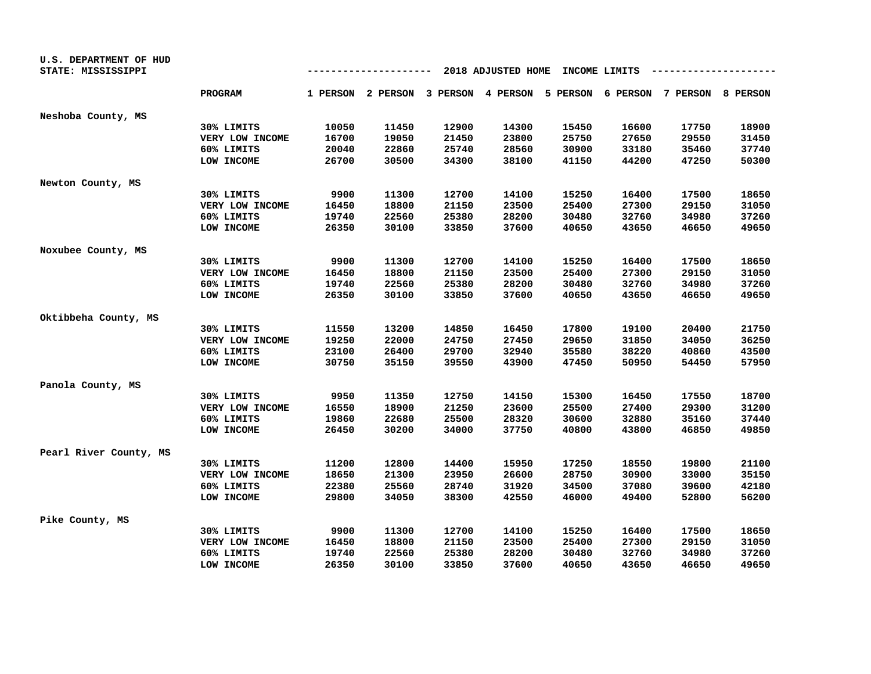| U.S. DEPARTMENT OF HUD<br>STATE: MISSISSIPPI |                 |       | -------- |       | 2018 ADJUSTED HOME                                                      | INCOME LIMITS |       |       |       |
|----------------------------------------------|-----------------|-------|----------|-------|-------------------------------------------------------------------------|---------------|-------|-------|-------|
|                                              | <b>PROGRAM</b>  |       |          |       | 1 PERSON 2 PERSON 3 PERSON 4 PERSON 5 PERSON 6 PERSON 7 PERSON 8 PERSON |               |       |       |       |
| Neshoba County, MS                           |                 |       |          |       |                                                                         |               |       |       |       |
|                                              | 30% LIMITS      | 10050 | 11450    | 12900 | 14300                                                                   | 15450         | 16600 | 17750 | 18900 |
|                                              | VERY LOW INCOME | 16700 | 19050    | 21450 | 23800                                                                   | 25750         | 27650 | 29550 | 31450 |
|                                              | 60% LIMITS      | 20040 | 22860    | 25740 | 28560                                                                   | 30900         | 33180 | 35460 | 37740 |
|                                              | LOW INCOME      | 26700 | 30500    | 34300 | 38100                                                                   | 41150         | 44200 | 47250 | 50300 |
| Newton County, MS                            |                 |       |          |       |                                                                         |               |       |       |       |
|                                              | 30% LIMITS      | 9900  | 11300    | 12700 | 14100                                                                   | 15250         | 16400 | 17500 | 18650 |
|                                              | VERY LOW INCOME | 16450 | 18800    | 21150 | 23500                                                                   | 25400         | 27300 | 29150 | 31050 |
|                                              | 60% LIMITS      | 19740 | 22560    | 25380 | 28200                                                                   | 30480         | 32760 | 34980 | 37260 |
|                                              | LOW INCOME      | 26350 | 30100    | 33850 | 37600                                                                   | 40650         | 43650 | 46650 | 49650 |
| Noxubee County, MS                           |                 |       |          |       |                                                                         |               |       |       |       |
|                                              | 30% LIMITS      | 9900  | 11300    | 12700 | 14100                                                                   | 15250         | 16400 | 17500 | 18650 |
|                                              | VERY LOW INCOME | 16450 | 18800    | 21150 | 23500                                                                   | 25400         | 27300 | 29150 | 31050 |
|                                              | 60% LIMITS      | 19740 | 22560    | 25380 | 28200                                                                   | 30480         | 32760 | 34980 | 37260 |
|                                              | LOW INCOME      | 26350 | 30100    | 33850 | 37600                                                                   | 40650         | 43650 | 46650 | 49650 |
| Oktibbeha County, MS                         |                 |       |          |       |                                                                         |               |       |       |       |
|                                              | 30% LIMITS      | 11550 | 13200    | 14850 | 16450                                                                   | 17800         | 19100 | 20400 | 21750 |
|                                              | VERY LOW INCOME | 19250 | 22000    | 24750 | 27450                                                                   | 29650         | 31850 | 34050 | 36250 |
|                                              | 60% LIMITS      | 23100 | 26400    | 29700 | 32940                                                                   | 35580         | 38220 | 40860 | 43500 |
|                                              | LOW INCOME      | 30750 | 35150    | 39550 | 43900                                                                   | 47450         | 50950 | 54450 | 57950 |
| Panola County, MS                            |                 |       |          |       |                                                                         |               |       |       |       |
|                                              | 30% LIMITS      | 9950  | 11350    | 12750 | 14150                                                                   | 15300         | 16450 | 17550 | 18700 |
|                                              | VERY LOW INCOME | 16550 | 18900    | 21250 | 23600                                                                   | 25500         | 27400 | 29300 | 31200 |
|                                              | 60% LIMITS      | 19860 | 22680    | 25500 | 28320                                                                   | 30600         | 32880 | 35160 | 37440 |
|                                              | LOW INCOME      | 26450 | 30200    | 34000 | 37750                                                                   | 40800         | 43800 | 46850 | 49850 |
| Pearl River County, MS                       |                 |       |          |       |                                                                         |               |       |       |       |
|                                              | 30% LIMITS      | 11200 | 12800    | 14400 | 15950                                                                   | 17250         | 18550 | 19800 | 21100 |
|                                              | VERY LOW INCOME | 18650 | 21300    | 23950 | 26600                                                                   | 28750         | 30900 | 33000 | 35150 |
|                                              | 60% LIMITS      | 22380 | 25560    | 28740 | 31920                                                                   | 34500         | 37080 | 39600 | 42180 |
|                                              | LOW INCOME      | 29800 | 34050    | 38300 | 42550                                                                   | 46000         | 49400 | 52800 | 56200 |
| Pike County, MS                              |                 |       |          |       |                                                                         |               |       |       |       |
|                                              | 30% LIMITS      | 9900  | 11300    | 12700 | 14100                                                                   | 15250         | 16400 | 17500 | 18650 |
|                                              | VERY LOW INCOME | 16450 | 18800    | 21150 | 23500                                                                   | 25400         | 27300 | 29150 | 31050 |
|                                              | 60% LIMITS      | 19740 | 22560    | 25380 | 28200                                                                   | 30480         | 32760 | 34980 | 37260 |
|                                              | LOW INCOME      | 26350 | 30100    | 33850 | 37600                                                                   | 40650         | 43650 | 46650 | 49650 |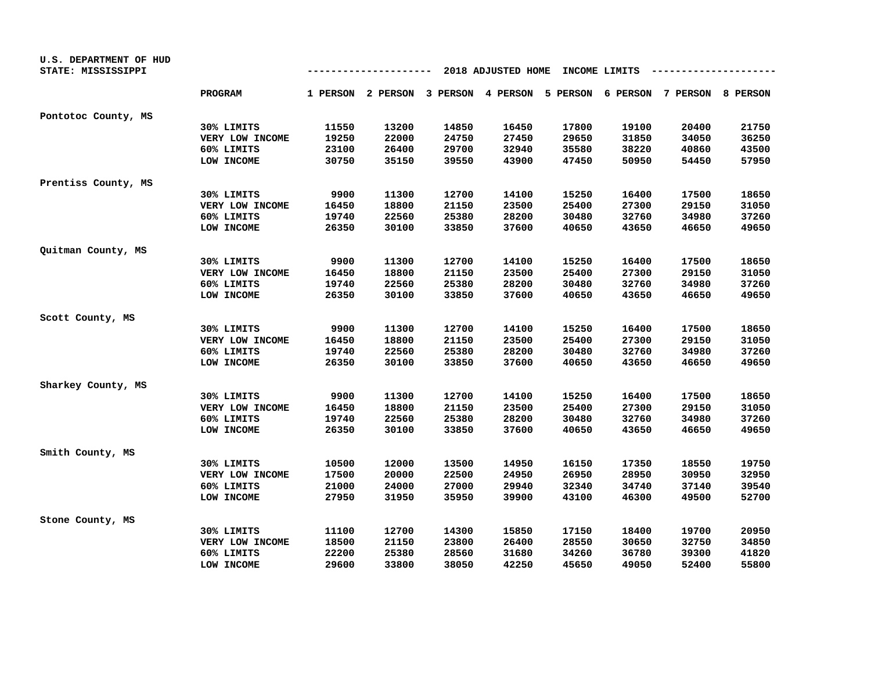| U.S. DEPARTMENT OF HUD<br>STATE: MISSISSIPPI |                 |       | -------                                                                 |       | 2018 ADJUSTED HOME |       | INCOME LIMITS |       |       |
|----------------------------------------------|-----------------|-------|-------------------------------------------------------------------------|-------|--------------------|-------|---------------|-------|-------|
|                                              | <b>PROGRAM</b>  |       | 1 PERSON 2 PERSON 3 PERSON 4 PERSON 5 PERSON 6 PERSON 7 PERSON 8 PERSON |       |                    |       |               |       |       |
| Pontotoc County, MS                          |                 |       |                                                                         |       |                    |       |               |       |       |
|                                              | 30% LIMITS      | 11550 | 13200                                                                   | 14850 | 16450              | 17800 | 19100         | 20400 | 21750 |
|                                              | VERY LOW INCOME | 19250 | 22000                                                                   | 24750 | 27450              | 29650 | 31850         | 34050 | 36250 |
|                                              | 60% LIMITS      | 23100 | 26400                                                                   | 29700 | 32940              | 35580 | 38220         | 40860 | 43500 |
|                                              | LOW INCOME      | 30750 | 35150                                                                   | 39550 | 43900              | 47450 | 50950         | 54450 | 57950 |
| Prentiss County, MS                          |                 |       |                                                                         |       |                    |       |               |       |       |
|                                              | 30% LIMITS      | 9900  | 11300                                                                   | 12700 | 14100              | 15250 | 16400         | 17500 | 18650 |
|                                              | VERY LOW INCOME | 16450 | 18800                                                                   | 21150 | 23500              | 25400 | 27300         | 29150 | 31050 |
|                                              | 60% LIMITS      | 19740 | 22560                                                                   | 25380 | 28200              | 30480 | 32760         | 34980 | 37260 |
|                                              | LOW INCOME      | 26350 | 30100                                                                   | 33850 | 37600              | 40650 | 43650         | 46650 | 49650 |
| Quitman County, MS                           |                 |       |                                                                         |       |                    |       |               |       |       |
|                                              | 30% LIMITS      | 9900  | 11300                                                                   | 12700 | 14100              | 15250 | 16400         | 17500 | 18650 |
|                                              | VERY LOW INCOME | 16450 | 18800                                                                   | 21150 | 23500              | 25400 | 27300         | 29150 | 31050 |
|                                              | 60% LIMITS      | 19740 | 22560                                                                   | 25380 | 28200              | 30480 | 32760         | 34980 | 37260 |
|                                              | LOW INCOME      | 26350 | 30100                                                                   | 33850 | 37600              | 40650 | 43650         | 46650 | 49650 |
| Scott County, MS                             |                 |       |                                                                         |       |                    |       |               |       |       |
|                                              | 30% LIMITS      | 9900  | 11300                                                                   | 12700 | 14100              | 15250 | 16400         | 17500 | 18650 |
|                                              | VERY LOW INCOME | 16450 | 18800                                                                   | 21150 | 23500              | 25400 | 27300         | 29150 | 31050 |
|                                              | 60% LIMITS      | 19740 | 22560                                                                   | 25380 | 28200              | 30480 | 32760         | 34980 | 37260 |
|                                              | LOW INCOME      | 26350 | 30100                                                                   | 33850 | 37600              | 40650 | 43650         | 46650 | 49650 |
| Sharkey County, MS                           |                 |       |                                                                         |       |                    |       |               |       |       |
|                                              | 30% LIMITS      | 9900  | 11300                                                                   | 12700 | 14100              | 15250 | 16400         | 17500 | 18650 |
|                                              | VERY LOW INCOME | 16450 | 18800                                                                   | 21150 | 23500              | 25400 | 27300         | 29150 | 31050 |
|                                              | 60% LIMITS      | 19740 | 22560                                                                   | 25380 | 28200              | 30480 | 32760         | 34980 | 37260 |
|                                              | LOW INCOME      | 26350 | 30100                                                                   | 33850 | 37600              | 40650 | 43650         | 46650 | 49650 |
| Smith County, MS                             |                 |       |                                                                         |       |                    |       |               |       |       |
|                                              | 30% LIMITS      | 10500 | 12000                                                                   | 13500 | 14950              | 16150 | 17350         | 18550 | 19750 |
|                                              | VERY LOW INCOME | 17500 | 20000                                                                   | 22500 | 24950              | 26950 | 28950         | 30950 | 32950 |
|                                              | 60% LIMITS      | 21000 | 24000                                                                   | 27000 | 29940              | 32340 | 34740         | 37140 | 39540 |
|                                              | LOW INCOME      | 27950 | 31950                                                                   | 35950 | 39900              | 43100 | 46300         | 49500 | 52700 |
| Stone County, MS                             |                 |       |                                                                         |       |                    |       |               |       |       |
|                                              | 30% LIMITS      | 11100 | 12700                                                                   | 14300 | 15850              | 17150 | 18400         | 19700 | 20950 |
|                                              | VERY LOW INCOME | 18500 | 21150                                                                   | 23800 | 26400              | 28550 | 30650         | 32750 | 34850 |
|                                              | 60% LIMITS      | 22200 | 25380                                                                   | 28560 | 31680              | 34260 | 36780         | 39300 | 41820 |
|                                              | LOW INCOME      | 29600 | 33800                                                                   | 38050 | 42250              | 45650 | 49050         | 52400 | 55800 |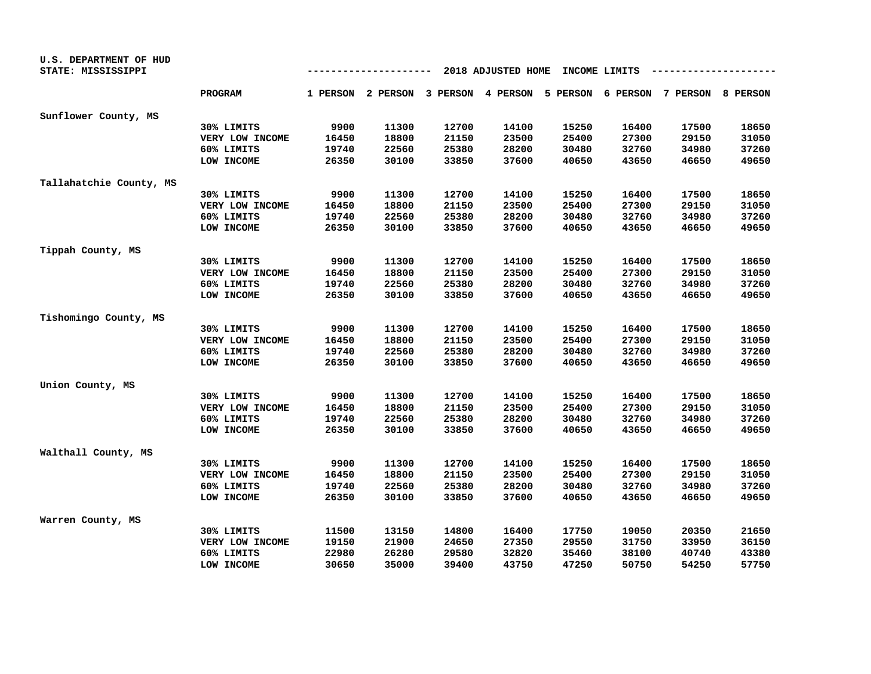| U.S. DEPARTMENT OF HUD<br>STATE: MISSISSIPPI |                 | 2018 ADJUSTED HOME<br>INCOME LIMITS<br>------- |                                                                         |       |       |       |       |       |       |  |
|----------------------------------------------|-----------------|------------------------------------------------|-------------------------------------------------------------------------|-------|-------|-------|-------|-------|-------|--|
|                                              | <b>PROGRAM</b>  |                                                | 1 PERSON 2 PERSON 3 PERSON 4 PERSON 5 PERSON 6 PERSON 7 PERSON 8 PERSON |       |       |       |       |       |       |  |
| Sunflower County, MS                         |                 |                                                |                                                                         |       |       |       |       |       |       |  |
|                                              | 30% LIMITS      | 9900                                           | 11300                                                                   | 12700 | 14100 | 15250 | 16400 | 17500 | 18650 |  |
|                                              | VERY LOW INCOME | 16450                                          | 18800                                                                   | 21150 | 23500 | 25400 | 27300 | 29150 | 31050 |  |
|                                              | 60% LIMITS      | 19740                                          | 22560                                                                   | 25380 | 28200 | 30480 | 32760 | 34980 | 37260 |  |
|                                              | LOW INCOME      | 26350                                          | 30100                                                                   | 33850 | 37600 | 40650 | 43650 | 46650 | 49650 |  |
| Tallahatchie County, MS                      |                 |                                                |                                                                         |       |       |       |       |       |       |  |
|                                              | 30% LIMITS      | 9900                                           | 11300                                                                   | 12700 | 14100 | 15250 | 16400 | 17500 | 18650 |  |
|                                              | VERY LOW INCOME | 16450                                          | 18800                                                                   | 21150 | 23500 | 25400 | 27300 | 29150 | 31050 |  |
|                                              | 60% LIMITS      | 19740                                          | 22560                                                                   | 25380 | 28200 | 30480 | 32760 | 34980 | 37260 |  |
|                                              | LOW INCOME      | 26350                                          | 30100                                                                   | 33850 | 37600 | 40650 | 43650 | 46650 | 49650 |  |
| Tippah County, MS                            |                 |                                                |                                                                         |       |       |       |       |       |       |  |
|                                              | 30% LIMITS      | 9900                                           | 11300                                                                   | 12700 | 14100 | 15250 | 16400 | 17500 | 18650 |  |
|                                              | VERY LOW INCOME | 16450                                          | 18800                                                                   | 21150 | 23500 | 25400 | 27300 | 29150 | 31050 |  |
|                                              | 60% LIMITS      | 19740                                          | 22560                                                                   | 25380 | 28200 | 30480 | 32760 | 34980 | 37260 |  |
|                                              | LOW INCOME      | 26350                                          | 30100                                                                   | 33850 | 37600 | 40650 | 43650 | 46650 | 49650 |  |
| Tishomingo County, MS                        |                 |                                                |                                                                         |       |       |       |       |       |       |  |
|                                              | 30% LIMITS      | 9900                                           | 11300                                                                   | 12700 | 14100 | 15250 | 16400 | 17500 | 18650 |  |
|                                              | VERY LOW INCOME | 16450                                          | 18800                                                                   | 21150 | 23500 | 25400 | 27300 | 29150 | 31050 |  |
|                                              | 60% LIMITS      | 19740                                          | 22560                                                                   | 25380 | 28200 | 30480 | 32760 | 34980 | 37260 |  |
|                                              | LOW INCOME      | 26350                                          | 30100                                                                   | 33850 | 37600 | 40650 | 43650 | 46650 | 49650 |  |
| Union County, MS                             |                 |                                                |                                                                         |       |       |       |       |       |       |  |
|                                              | 30% LIMITS      | 9900                                           | 11300                                                                   | 12700 | 14100 | 15250 | 16400 | 17500 | 18650 |  |
|                                              | VERY LOW INCOME | 16450                                          | 18800                                                                   | 21150 | 23500 | 25400 | 27300 | 29150 | 31050 |  |
|                                              | 60% LIMITS      | 19740                                          | 22560                                                                   | 25380 | 28200 | 30480 | 32760 | 34980 | 37260 |  |
|                                              | LOW INCOME      | 26350                                          | 30100                                                                   | 33850 | 37600 | 40650 | 43650 | 46650 | 49650 |  |
| Walthall County, MS                          |                 |                                                |                                                                         |       |       |       |       |       |       |  |
|                                              | 30% LIMITS      | 9900                                           | 11300                                                                   | 12700 | 14100 | 15250 | 16400 | 17500 | 18650 |  |
|                                              | VERY LOW INCOME | 16450                                          | 18800                                                                   | 21150 | 23500 | 25400 | 27300 | 29150 | 31050 |  |
|                                              | 60% LIMITS      | 19740                                          | 22560                                                                   | 25380 | 28200 | 30480 | 32760 | 34980 | 37260 |  |
|                                              | LOW INCOME      | 26350                                          | 30100                                                                   | 33850 | 37600 | 40650 | 43650 | 46650 | 49650 |  |
| Warren County, MS                            |                 |                                                |                                                                         |       |       |       |       |       |       |  |
|                                              | 30% LIMITS      | 11500                                          | 13150                                                                   | 14800 | 16400 | 17750 | 19050 | 20350 | 21650 |  |
|                                              | VERY LOW INCOME | 19150                                          | 21900                                                                   | 24650 | 27350 | 29550 | 31750 | 33950 | 36150 |  |
|                                              | 60% LIMITS      | 22980                                          | 26280                                                                   | 29580 | 32820 | 35460 | 38100 | 40740 | 43380 |  |
|                                              | LOW INCOME      | 30650                                          | 35000                                                                   | 39400 | 43750 | 47250 | 50750 | 54250 | 57750 |  |